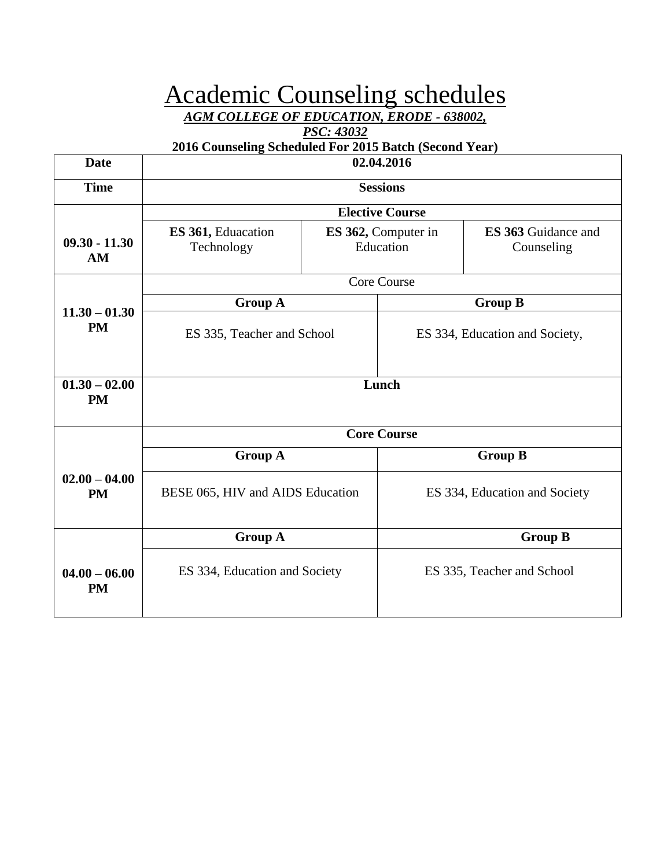# Academic Counseling schedules

*AGM COLLEGE OF EDUCATION, ERODE - 638002,* 

#### *PSC: 43032*

### **2016 Counseling Scheduled For 2015 Batch (Second Year)**

Г

| <b>Date</b>                  | 02.04.2016                       |                                  |                                |                                          |
|------------------------------|----------------------------------|----------------------------------|--------------------------------|------------------------------------------|
| <b>Time</b>                  | <b>Sessions</b>                  |                                  |                                |                                          |
|                              | <b>Elective Course</b>           |                                  |                                |                                          |
| $09.30 - 11.30$<br>AM        | ES 361, Eduacation<br>Technology | ES 362, Computer in<br>Education |                                | <b>ES 363 Guidance and</b><br>Counseling |
|                              |                                  |                                  | <b>Core Course</b>             |                                          |
|                              | <b>Group A</b>                   |                                  |                                | <b>Group B</b>                           |
| $11.30 - 01.30$<br><b>PM</b> | ES 335, Teacher and School       |                                  | ES 334, Education and Society, |                                          |
| $01.30 - 02.00$<br><b>PM</b> | Lunch                            |                                  |                                |                                          |
|                              | <b>Core Course</b>               |                                  |                                |                                          |
|                              | <b>Group A</b>                   |                                  |                                | <b>Group B</b>                           |
| $02.00 - 04.00$<br><b>PM</b> | BESE 065, HIV and AIDS Education |                                  |                                | ES 334, Education and Society            |
|                              | <b>Group A</b><br><b>Group B</b> |                                  |                                |                                          |
| $04.00 - 06.00$<br><b>PM</b> | ES 334, Education and Society    |                                  |                                | ES 335, Teacher and School               |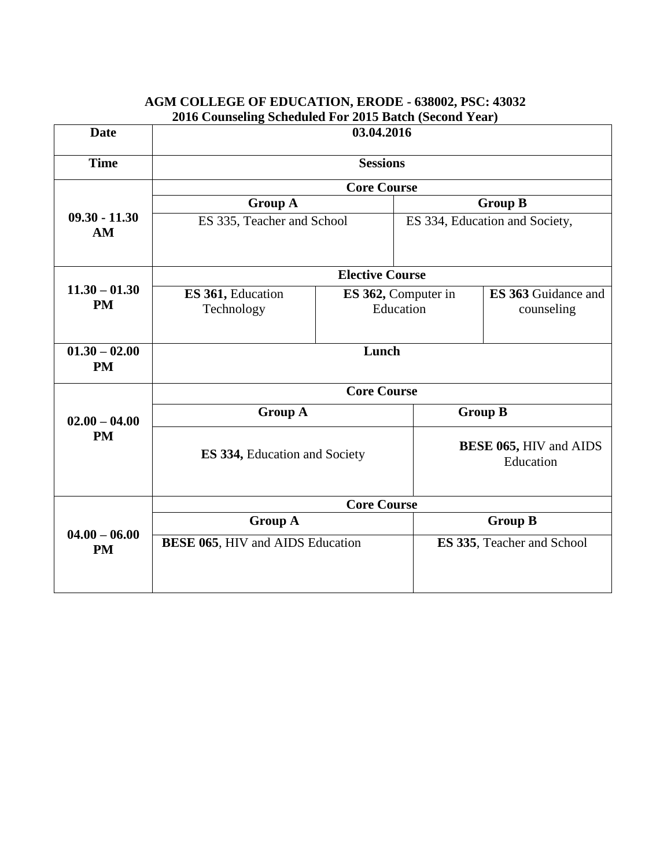| <b>Date</b>                  | $\omega$ 10 Counsting beneather For 2015 Daten (become Tear)<br>03.04.2016 |                                  |                                            |                                   |  |
|------------------------------|----------------------------------------------------------------------------|----------------------------------|--------------------------------------------|-----------------------------------|--|
| <b>Time</b>                  | <b>Sessions</b>                                                            |                                  |                                            |                                   |  |
|                              | <b>Core Course</b>                                                         |                                  |                                            |                                   |  |
|                              | <b>Group A</b>                                                             |                                  | <b>Group B</b>                             |                                   |  |
| $09.30 - 11.30$<br>AM        | ES 335, Teacher and School                                                 | ES 334, Education and Society,   |                                            |                                   |  |
|                              |                                                                            | <b>Elective Course</b>           |                                            |                                   |  |
| $11.30 - 01.30$<br><b>PM</b> | ES 361, Education<br>Technology                                            | ES 362, Computer in<br>Education |                                            | ES 363 Guidance and<br>counseling |  |
| $01.30 - 02.00$<br><b>PM</b> | Lunch                                                                      |                                  |                                            |                                   |  |
|                              | <b>Core Course</b>                                                         |                                  |                                            |                                   |  |
| $02.00 - 04.00$              | <b>Group A</b>                                                             |                                  | <b>Group B</b>                             |                                   |  |
| <b>PM</b>                    | ES 334, Education and Society                                              |                                  | <b>BESE 065, HIV and AIDS</b><br>Education |                                   |  |
|                              | <b>Core Course</b>                                                         |                                  |                                            |                                   |  |
|                              | <b>Group A</b>                                                             |                                  | <b>Group B</b>                             |                                   |  |
| $04.00 - 06.00$<br><b>PM</b> | <b>BESE 065, HIV and AIDS Education</b>                                    |                                  |                                            | ES 335, Teacher and School        |  |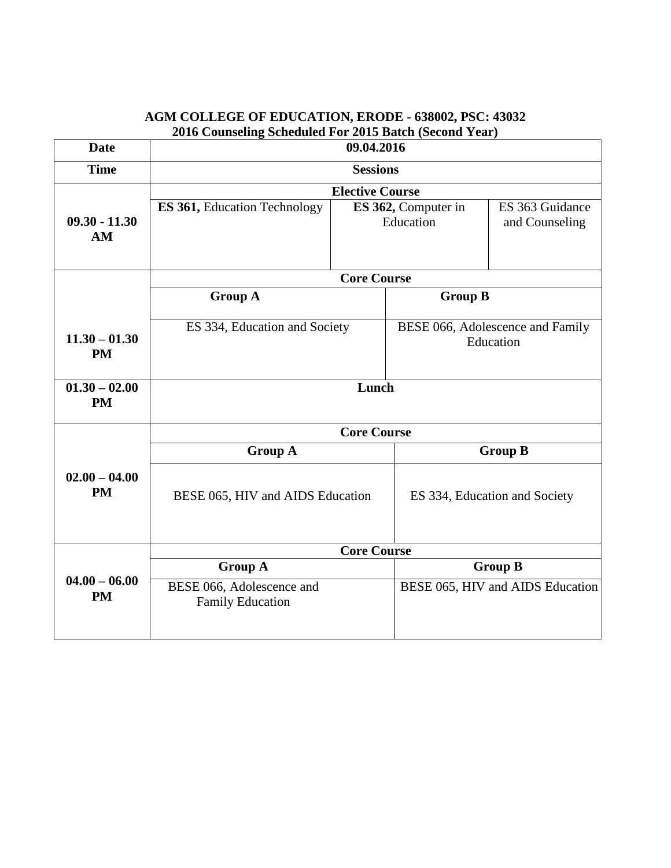| <b>Date</b>                             | $\beta$ cheanca I of 2010 Daten (Decond Teal<br>09.04.2016 |                                  |                                               |                                   |
|-----------------------------------------|------------------------------------------------------------|----------------------------------|-----------------------------------------------|-----------------------------------|
| <b>Time</b>                             | <b>Sessions</b>                                            |                                  |                                               |                                   |
|                                         | <b>Elective Course</b>                                     |                                  |                                               |                                   |
| $09.30 - 11.30$<br>AM                   | ES 361, Education Technology                               | ES 362, Computer in<br>Education |                                               | ES 363 Guidance<br>and Counseling |
|                                         | <b>Core Course</b>                                         |                                  |                                               |                                   |
|                                         | <b>Group A</b><br><b>Group B</b>                           |                                  |                                               |                                   |
| $11.30 - 01.30$<br><b>PM</b>            | ES 334, Education and Society                              |                                  | BESE 066, Adolescence and Family<br>Education |                                   |
| $\overline{01.30} - 02.00$<br><b>PM</b> | Lunch                                                      |                                  |                                               |                                   |
|                                         | <b>Core Course</b>                                         |                                  |                                               |                                   |
|                                         | <b>Group A</b>                                             |                                  | <b>Group B</b>                                |                                   |
| $02.00 - 04.00$<br><b>PM</b>            | BESE 065, HIV and AIDS Education                           |                                  |                                               | ES 334, Education and Society     |
|                                         | <b>Core Course</b>                                         |                                  |                                               |                                   |
|                                         | <b>Group A</b>                                             |                                  | <b>Group B</b>                                |                                   |
| $04.00 - 06.00$<br><b>PM</b>            | BESE 066, Adolescence and<br><b>Family Education</b>       |                                  |                                               | BESE 065, HIV and AIDS Education  |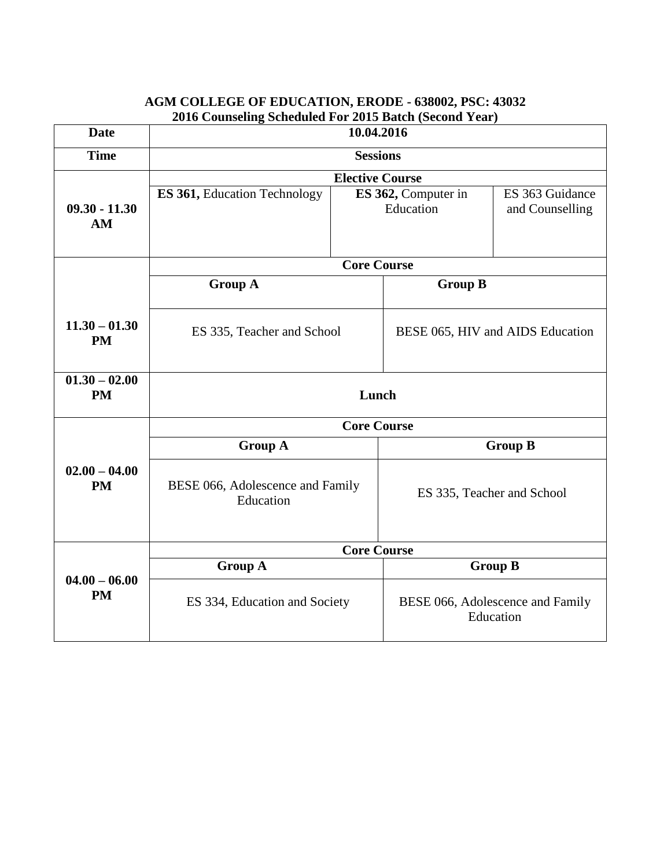| <b>Date</b>                  | 2010 Counseling Scheduled For 2013 Datch (Second Teal)<br>10.04.2016 |                                  |                                               |                                    |
|------------------------------|----------------------------------------------------------------------|----------------------------------|-----------------------------------------------|------------------------------------|
| <b>Time</b>                  | <b>Sessions</b>                                                      |                                  |                                               |                                    |
|                              | <b>Elective Course</b>                                               |                                  |                                               |                                    |
| $09.30 - 11.30$<br>AM        | <b>ES 361, Education Technology</b>                                  | ES 362, Computer in<br>Education |                                               | ES 363 Guidance<br>and Counselling |
|                              |                                                                      | <b>Core Course</b>               |                                               |                                    |
|                              | <b>Group A</b>                                                       |                                  | <b>Group B</b>                                |                                    |
| $11.30 - 01.30$<br><b>PM</b> | ES 335, Teacher and School                                           |                                  | BESE 065, HIV and AIDS Education              |                                    |
| $01.30 - 02.00$<br><b>PM</b> | Lunch                                                                |                                  |                                               |                                    |
|                              | <b>Core Course</b>                                                   |                                  |                                               |                                    |
|                              | <b>Group A</b>                                                       |                                  |                                               | <b>Group B</b>                     |
| $02.00 - 04.00$<br><b>PM</b> | BESE 066, Adolescence and Family<br>Education                        |                                  | ES 335, Teacher and School                    |                                    |
|                              | <b>Core Course</b>                                                   |                                  |                                               |                                    |
|                              | <b>Group A</b>                                                       |                                  | <b>Group B</b>                                |                                    |
| $04.00 - 06.00$<br><b>PM</b> | ES 334, Education and Society                                        |                                  | BESE 066, Adolescence and Family<br>Education |                                    |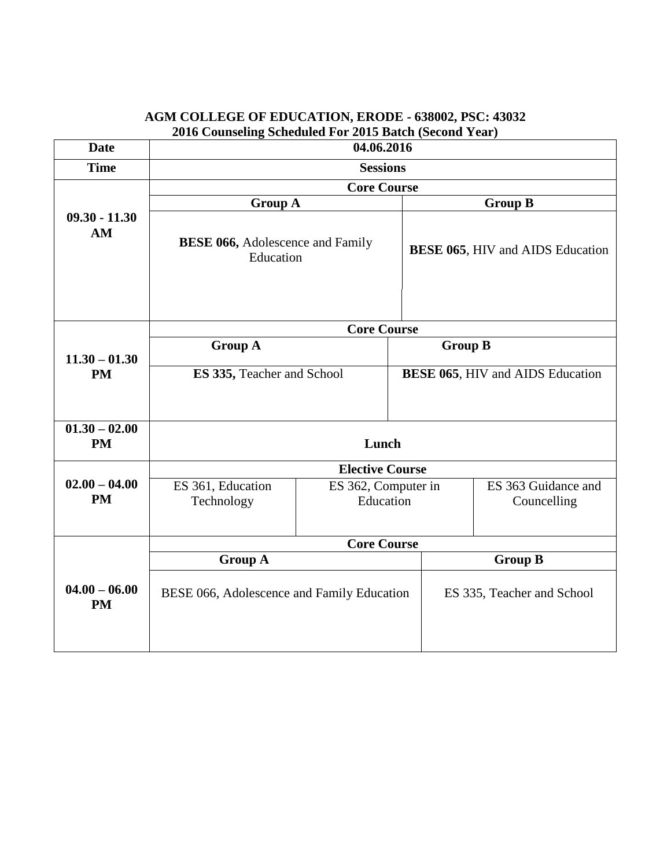| <b>Date</b>                             | 2010 Counsting beneather For 2015 Batch (become Tear)<br>04.06.2016 |                                  |                                         |                                         |                |
|-----------------------------------------|---------------------------------------------------------------------|----------------------------------|-----------------------------------------|-----------------------------------------|----------------|
| <b>Time</b>                             | <b>Sessions</b>                                                     |                                  |                                         |                                         |                |
|                                         | <b>Core Course</b>                                                  |                                  |                                         |                                         |                |
|                                         | <b>Group A</b>                                                      |                                  |                                         | <b>Group B</b>                          |                |
| $09.30 - 11.30$<br>AM                   | <b>BESE 066, Adolescence and Family</b><br>Education                |                                  | <b>BESE 065, HIV and AIDS Education</b> |                                         |                |
|                                         | <b>Core Course</b>                                                  |                                  |                                         |                                         |                |
| $11.30 - 01.30$                         | <b>Group A</b>                                                      |                                  | <b>Group B</b>                          |                                         |                |
| <b>PM</b>                               | ES 335, Teacher and School                                          |                                  |                                         | <b>BESE 065, HIV and AIDS Education</b> |                |
| $\overline{01.30} - 02.00$<br><b>PM</b> | Lunch                                                               |                                  |                                         |                                         |                |
|                                         | <b>Elective Course</b>                                              |                                  |                                         |                                         |                |
| $02.00 - 04.00$<br><b>PM</b>            | ES 361, Education<br>Technology                                     | ES 362, Computer in<br>Education |                                         | ES 363 Guidance and<br>Councelling      |                |
|                                         | <b>Core Course</b>                                                  |                                  |                                         |                                         |                |
|                                         | <b>Group A</b>                                                      |                                  |                                         |                                         | <b>Group B</b> |
| $04.00 - 06.00$<br><b>PM</b>            | BESE 066, Adolescence and Family Education                          |                                  | ES 335, Teacher and School              |                                         |                |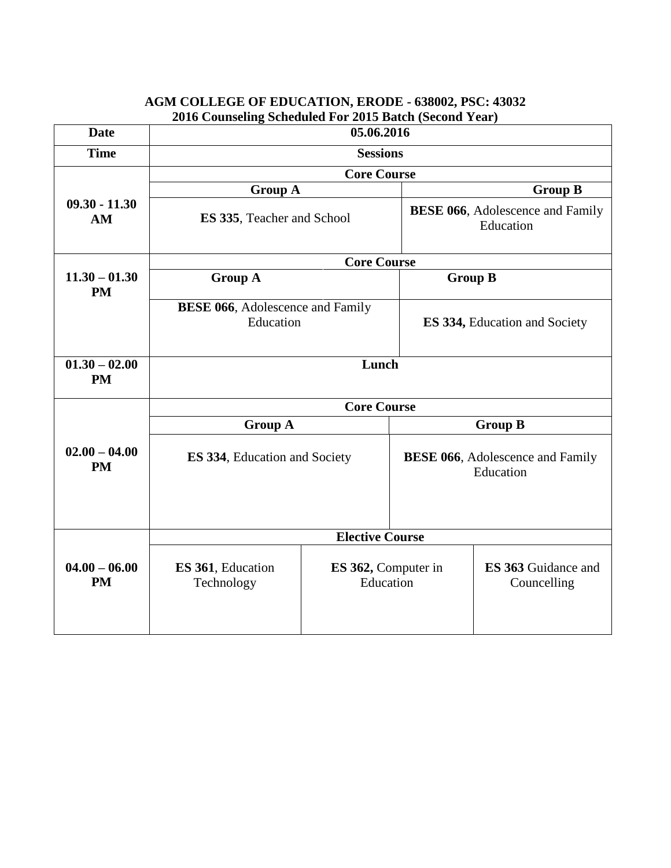|                              | 2016 Counseling Scheduled For 2015 Batch (Second Year) |                                  |                                                       |                                                       |
|------------------------------|--------------------------------------------------------|----------------------------------|-------------------------------------------------------|-------------------------------------------------------|
| <b>Date</b>                  | 05.06.2016                                             |                                  |                                                       |                                                       |
| <b>Time</b>                  | <b>Sessions</b>                                        |                                  |                                                       |                                                       |
|                              | <b>Core Course</b>                                     |                                  |                                                       |                                                       |
|                              | <b>Group A</b>                                         |                                  |                                                       | <b>Group B</b>                                        |
| $09.30 - 11.30$<br>AM        | ES 335, Teacher and School                             |                                  |                                                       | <b>BESE 066</b> , Adolescence and Family<br>Education |
|                              |                                                        | <b>Core Course</b>               |                                                       |                                                       |
| $11.30 - 01.30$<br><b>PM</b> | <b>Group A</b><br><b>Group B</b>                       |                                  |                                                       |                                                       |
|                              | <b>BESE 066</b> , Adolescence and Family<br>Education  |                                  |                                                       | <b>ES 334, Education and Society</b>                  |
| $01.30 - 02.00$<br><b>PM</b> | Lunch                                                  |                                  |                                                       |                                                       |
|                              | <b>Core Course</b>                                     |                                  |                                                       |                                                       |
|                              | <b>Group A</b>                                         |                                  |                                                       | <b>Group B</b>                                        |
| $02.00 - 04.00$<br><b>PM</b> | <b>ES 334, Education and Society</b>                   |                                  | <b>BESE 066</b> , Adolescence and Family<br>Education |                                                       |
|                              | <b>Elective Course</b>                                 |                                  |                                                       |                                                       |
| $04.00 - 06.00$<br><b>PM</b> | ES 361, Education<br>Technology                        | ES 362, Computer in<br>Education |                                                       | <b>ES 363 Guidance and</b><br>Councelling             |

## **AGM COLLEGE OF EDUCATION, ERODE - 638002, PSC: 43032**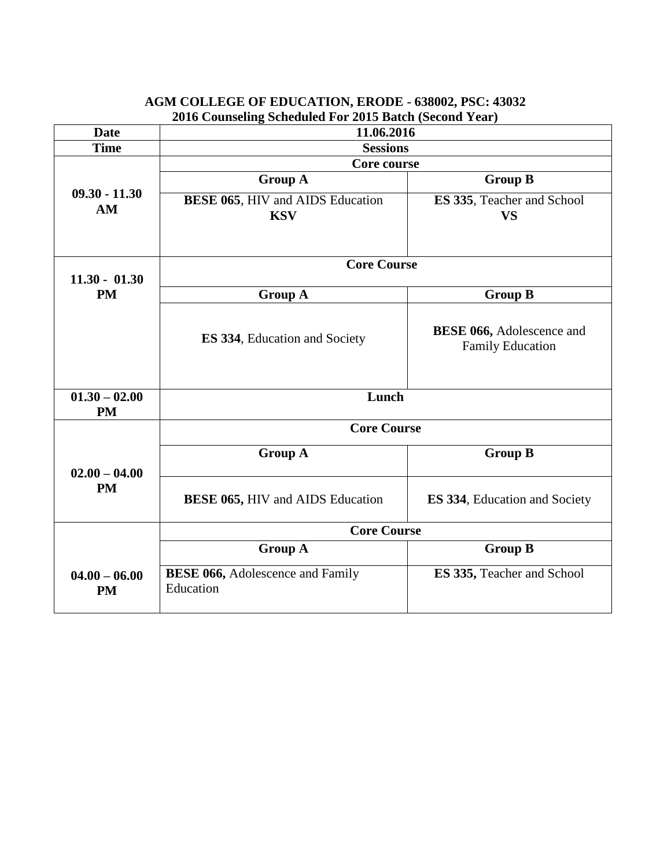|                              | 2010 Counseling Scheduled For 2015 Batch (Second Year) |                                         |  |  |
|------------------------------|--------------------------------------------------------|-----------------------------------------|--|--|
| Date                         | 11.06.2016                                             |                                         |  |  |
| <b>Time</b>                  | <b>Sessions</b>                                        |                                         |  |  |
|                              | Core course                                            |                                         |  |  |
|                              | <b>Group A</b>                                         | <b>Group B</b>                          |  |  |
| $09.30 - 11.30$<br>AM        | <b>BESE 065, HIV and AIDS Education</b><br><b>KSV</b>  | ES 335, Teacher and School<br><b>VS</b> |  |  |
| $11.30 - 01.30$              | <b>Core Course</b>                                     |                                         |  |  |
| <b>PM</b>                    | <b>Group A</b>                                         | <b>Group B</b>                          |  |  |
|                              |                                                        | <b>BESE 066, Adolescence and</b>        |  |  |
|                              | <b>ES 334, Education and Society</b>                   | <b>Family Education</b>                 |  |  |
| $01.30 - 02.00$<br><b>PM</b> | Lunch                                                  |                                         |  |  |
|                              | <b>Core Course</b>                                     |                                         |  |  |
| $02.00 - 04.00$              | <b>Group A</b>                                         | <b>Group B</b>                          |  |  |
| <b>PM</b>                    | <b>BESE 065, HIV and AIDS Education</b>                | <b>ES 334, Education and Society</b>    |  |  |
|                              | <b>Core Course</b>                                     |                                         |  |  |
|                              | <b>Group A</b>                                         | <b>Group B</b>                          |  |  |
| $04.00 - 06.00$<br><b>PM</b> | <b>BESE 066, Adolescence and Family</b><br>Education   | ES 335, Teacher and School              |  |  |